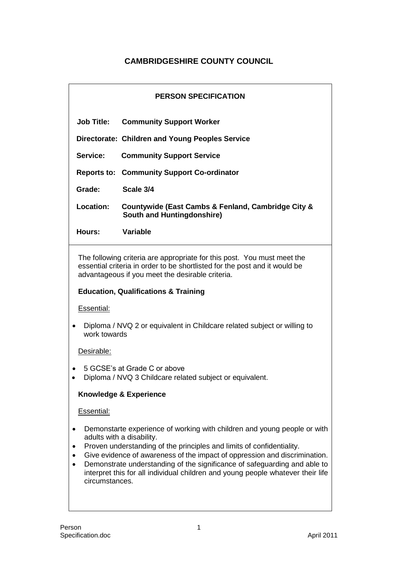# **CAMBRIDGESHIRE COUNTY COUNCIL**

| <b>PERSON SPECIFICATION</b>                                                                                                                                                                                                                                                                                                                                                                                                                    |                                                                                         |  |
|------------------------------------------------------------------------------------------------------------------------------------------------------------------------------------------------------------------------------------------------------------------------------------------------------------------------------------------------------------------------------------------------------------------------------------------------|-----------------------------------------------------------------------------------------|--|
| <b>Job Title:</b>                                                                                                                                                                                                                                                                                                                                                                                                                              | <b>Community Support Worker</b>                                                         |  |
|                                                                                                                                                                                                                                                                                                                                                                                                                                                | Directorate: Children and Young Peoples Service                                         |  |
| Service:                                                                                                                                                                                                                                                                                                                                                                                                                                       | <b>Community Support Service</b>                                                        |  |
|                                                                                                                                                                                                                                                                                                                                                                                                                                                | <b>Reports to: Community Support Co-ordinator</b>                                       |  |
| Grade:                                                                                                                                                                                                                                                                                                                                                                                                                                         | Scale 3/4                                                                               |  |
| <b>Location:</b>                                                                                                                                                                                                                                                                                                                                                                                                                               | Countywide (East Cambs & Fenland, Cambridge City &<br><b>South and Huntingdonshire)</b> |  |
| Hours:                                                                                                                                                                                                                                                                                                                                                                                                                                         | <b>Variable</b>                                                                         |  |
| The following criteria are appropriate for this post. You must meet the<br>essential criteria in order to be shortlisted for the post and it would be<br>advantageous if you meet the desirable criteria.                                                                                                                                                                                                                                      |                                                                                         |  |
| <b>Education, Qualifications &amp; Training</b>                                                                                                                                                                                                                                                                                                                                                                                                |                                                                                         |  |
| Essential:                                                                                                                                                                                                                                                                                                                                                                                                                                     |                                                                                         |  |
| Diploma / NVQ 2 or equivalent in Childcare related subject or willing to<br>work towards                                                                                                                                                                                                                                                                                                                                                       |                                                                                         |  |
| Desirable:                                                                                                                                                                                                                                                                                                                                                                                                                                     |                                                                                         |  |
| 5 GCSE's at Grade C or above<br>Diploma / NVQ 3 Childcare related subject or equivalent.                                                                                                                                                                                                                                                                                                                                                       |                                                                                         |  |
| <b>Knowledge &amp; Experience</b>                                                                                                                                                                                                                                                                                                                                                                                                              |                                                                                         |  |
| <b>Essential:</b>                                                                                                                                                                                                                                                                                                                                                                                                                              |                                                                                         |  |
| Demonstarte experience of working with children and young people or with<br>adults with a disability.<br>Proven understanding of the principles and limits of confidentiality.<br>Give evidence of awareness of the impact of oppression and discrimination.<br>Demonstrate understanding of the significance of safeguarding and able to<br>interpret this for all individual children and young people whatever their life<br>circumstances. |                                                                                         |  |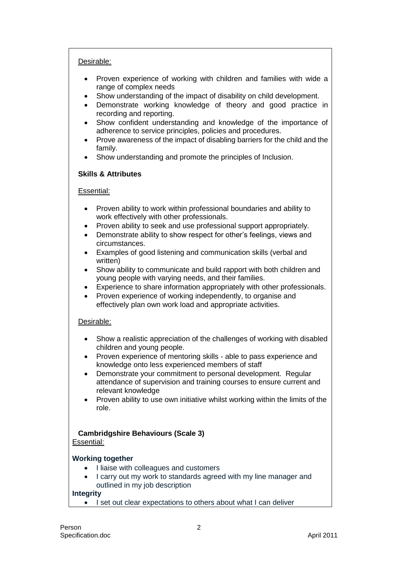## Desirable:

- Proven experience of working with children and families with wide a range of complex needs
- Show understanding of the impact of disability on child development.
- Demonstrate working knowledge of theory and good practice in recording and reporting.
- Show confident understanding and knowledge of the importance of adherence to service principles, policies and procedures.
- Prove awareness of the impact of disabling barriers for the child and the family.
- Show understanding and promote the principles of Inclusion.

## **Skills & Attributes**

## Essential:

- Proven ability to work within professional boundaries and ability to work effectively with other professionals.
- Proven ability to seek and use professional support appropriately.
- Demonstrate ability to show respect for other's feelings, views and circumstances.
- Examples of good listening and communication skills (verbal and written)
- Show ability to communicate and build rapport with both children and young people with varying needs, and their families.
- Experience to share information appropriately with other professionals.
- Proven experience of working independently, to organise and effectively plan own work load and appropriate activities.

## Desirable:

- Show a realistic appreciation of the challenges of working with disabled children and young people.
- Proven experience of mentoring skills able to pass experience and knowledge onto less experienced members of staff
- Demonstrate your commitment to personal development. Regular attendance of supervision and training courses to ensure current and relevant knowledge
- Proven ability to use own initiative whilst working within the limits of the role.

## **Cambridgshire Behaviours (Scale 3)**

## Essential:

## **Working together**

- I liaise with colleagues and customers
- I carry out my work to standards agreed with my line manager and outlined in my job description

## **Integrity**

I set out clear expectations to others about what I can deliver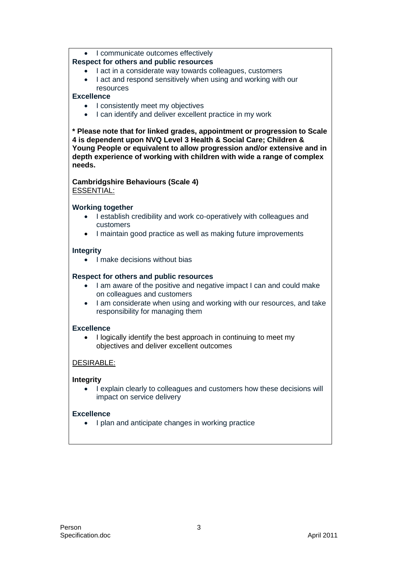# • I communicate outcomes effectively

# **Respect for others and public resources**

- I act in a considerate way towards colleagues, customers
- I act and respond sensitively when using and working with our resources

# **Excellence**

- I consistently meet my objectives
- I can identify and deliver excellent practice in my work

**\* Please note that for linked grades, appointment or progression to Scale 4 is dependent upon NVQ Level 3 Health & Social Care; Children & Young People or equivalent to allow progression and/or extensive and in depth experience of working with children with wide a range of complex needs.**

## **Cambridgshire Behaviours (Scale 4)** ESSENTIAL:

# **Working together**

- I establish credibility and work co-operatively with colleagues and customers
- I maintain good practice as well as making future improvements

# **Integrity**

• I make decisions without bias

# **Respect for others and public resources**

- I am aware of the positive and negative impact I can and could make on colleagues and customers
- I am considerate when using and working with our resources, and take responsibility for managing them

## **Excellence**

• I logically identify the best approach in continuing to meet my objectives and deliver excellent outcomes

# DESIRABLE:

# **Integrity**

• I explain clearly to colleagues and customers how these decisions will impact on service delivery

## **Excellence**

• I plan and anticipate changes in working practice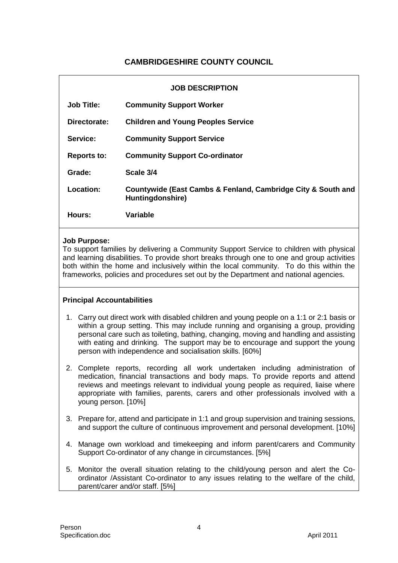# **CAMBRIDGESHIRE COUNTY COUNCIL**

| <b>JOB DESCRIPTION</b> |                                                                                  |
|------------------------|----------------------------------------------------------------------------------|
| <b>Job Title:</b>      | <b>Community Support Worker</b>                                                  |
| Directorate:           | <b>Children and Young Peoples Service</b>                                        |
| Service:               | <b>Community Support Service</b>                                                 |
| <b>Reports to:</b>     | <b>Community Support Co-ordinator</b>                                            |
| Grade:                 | Scale 3/4                                                                        |
| Location:              | Countywide (East Cambs & Fenland, Cambridge City & South and<br>Huntingdonshire) |
| Hours:                 | Variable                                                                         |

#### **Job Purpose:**

To support families by delivering a Community Support Service to children with physical and learning disabilities. To provide short breaks through one to one and group activities both within the home and inclusively within the local community. To do this within the frameworks, policies and procedures set out by the Department and national agencies.

## **Principal Accountabilities**

- 1. Carry out direct work with disabled children and young people on a 1:1 or 2:1 basis or within a group setting. This may include running and organising a group, providing personal care such as toileting, bathing, changing, moving and handling and assisting with eating and drinking. The support may be to encourage and support the young person with independence and socialisation skills. [60%]
- 2. Complete reports, recording all work undertaken including administration of medication, financial transactions and body maps. To provide reports and attend reviews and meetings relevant to individual young people as required, liaise where appropriate with families, parents, carers and other professionals involved with a young person. [10%]
- 3. Prepare for, attend and participate in 1:1 and group supervision and training sessions, and support the culture of continuous improvement and personal development. [10%]
- 4. Manage own workload and timekeeping and inform parent/carers and Community Support Co-ordinator of any change in circumstances. [5%]
- 5. Monitor the overall situation relating to the child/young person and alert the Coordinator /Assistant Co-ordinator to any issues relating to the welfare of the child, parent/carer and/or staff. [5%]